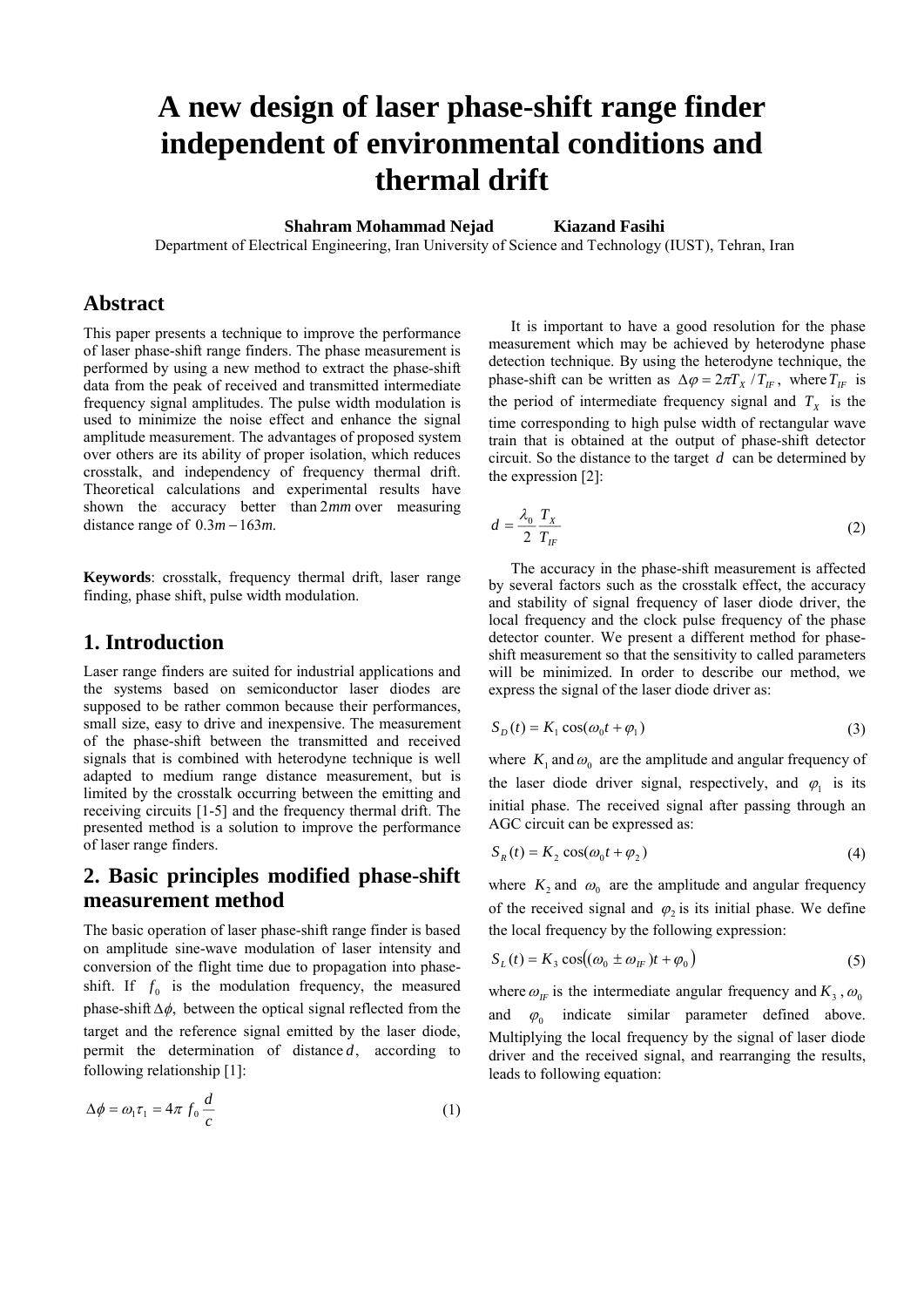# **A new design of laser phase-shift range finder independent of environmental conditions and thermal drift**

**Shahram Mohammad Nejad Kiazand Fasihi** 

Department of Electrical Engineering, Iran University of Science and Technology (IUST), Tehran, Iran

## **Abstract**

This paper presents a technique to improve the performance of laser phase-shift range finders. The phase measurement is performed by using a new method to extract the phase-shift data from the peak of received and transmitted intermediate frequency signal amplitudes. The pulse width modulation is used to minimize the noise effect and enhance the signal amplitude measurement. The advantages of proposed system over others are its ability of proper isolation, which reduces crosstalk, and independency of frequency thermal drift. Theoretical calculations and experimental results have shown the accuracy better than 2*mm* over measuring distance range of  $0.3m - 163m$ .

**Keywords**: crosstalk, frequency thermal drift, laser range finding, phase shift, pulse width modulation.

## **1. Introduction**

Laser range finders are suited for industrial applications and the systems based on semiconductor laser diodes are supposed to be rather common because their performances, small size, easy to drive and inexpensive. The measurement of the phase-shift between the transmitted and received signals that is combined with heterodyne technique is well adapted to medium range distance measurement, but is limited by the crosstalk occurring between the emitting and receiving circuits [1-5] and the frequency thermal drift. The presented method is a solution to improve the performance of laser range finders.

# **2. Basic principles modified phase-shift measurement method**

The basic operation of laser phase-shift range finder is based on amplitude sine-wave modulation of laser intensity and conversion of the flight time due to propagation into phaseshift. If  $f_0$  is the modulation frequency, the measured phase-shift  $\Delta \phi$ , between the optical signal reflected from the target and the reference signal emitted by the laser diode, permit the determination of distance *d*, according to following relationship [1]:

$$
\Delta \phi = \omega_1 \tau_1 = 4\pi f_0 \frac{d}{c} \tag{1}
$$

It is important to have a good resolution for the phase measurement which may be achieved by heterodyne phase detection technique. By using the heterodyne technique, the phase-shift can be written as  $\Delta \varphi = 2\pi T_X / T_F$ , where  $T_F$  is the period of intermediate frequency signal and  $T_X$  is the time corresponding to high pulse width of rectangular wave train that is obtained at the output of phase-shift detector circuit. So the distance to the target *d* can be determined by the expression [2]:

$$
d = \frac{\lambda_0}{2} \frac{T_X}{T_{IF}} \tag{2}
$$

The accuracy in the phase-shift measurement is affected by several factors such as the crosstalk effect, the accuracy and stability of signal frequency of laser diode driver, the local frequency and the clock pulse frequency of the phase detector counter. We present a different method for phaseshift measurement so that the sensitivity to called parameters will be minimized. In order to describe our method, we express the signal of the laser diode driver as:

$$
S_D(t) = K_1 \cos(\omega_0 t + \varphi_1)
$$
\n(3)

where  $K_1$  and  $\omega_0$  are the amplitude and angular frequency of the laser diode driver signal, respectively, and  $\varphi_1$  is its initial phase. The received signal after passing through an AGC circuit can be expressed as:

$$
S_R(t) = K_2 \cos(\omega_0 t + \varphi_2)
$$
 (4)

where  $K_2$  and  $\omega_0$  are the amplitude and angular frequency of the received signal and  $\varphi$ , is its initial phase. We define the local frequency by the following expression:

$$
S_L(t) = K_3 \cos((\omega_0 \pm \omega_H)t + \varphi_0)
$$
\n<sup>(5)</sup>

where  $\omega_F$  is the intermediate angular frequency and  $K_3$ ,  $\omega_0$ and  $\varphi_0$  indicate similar parameter defined above. Multiplying the local frequency by the signal of laser diode driver and the received signal, and rearranging the results, leads to following equation: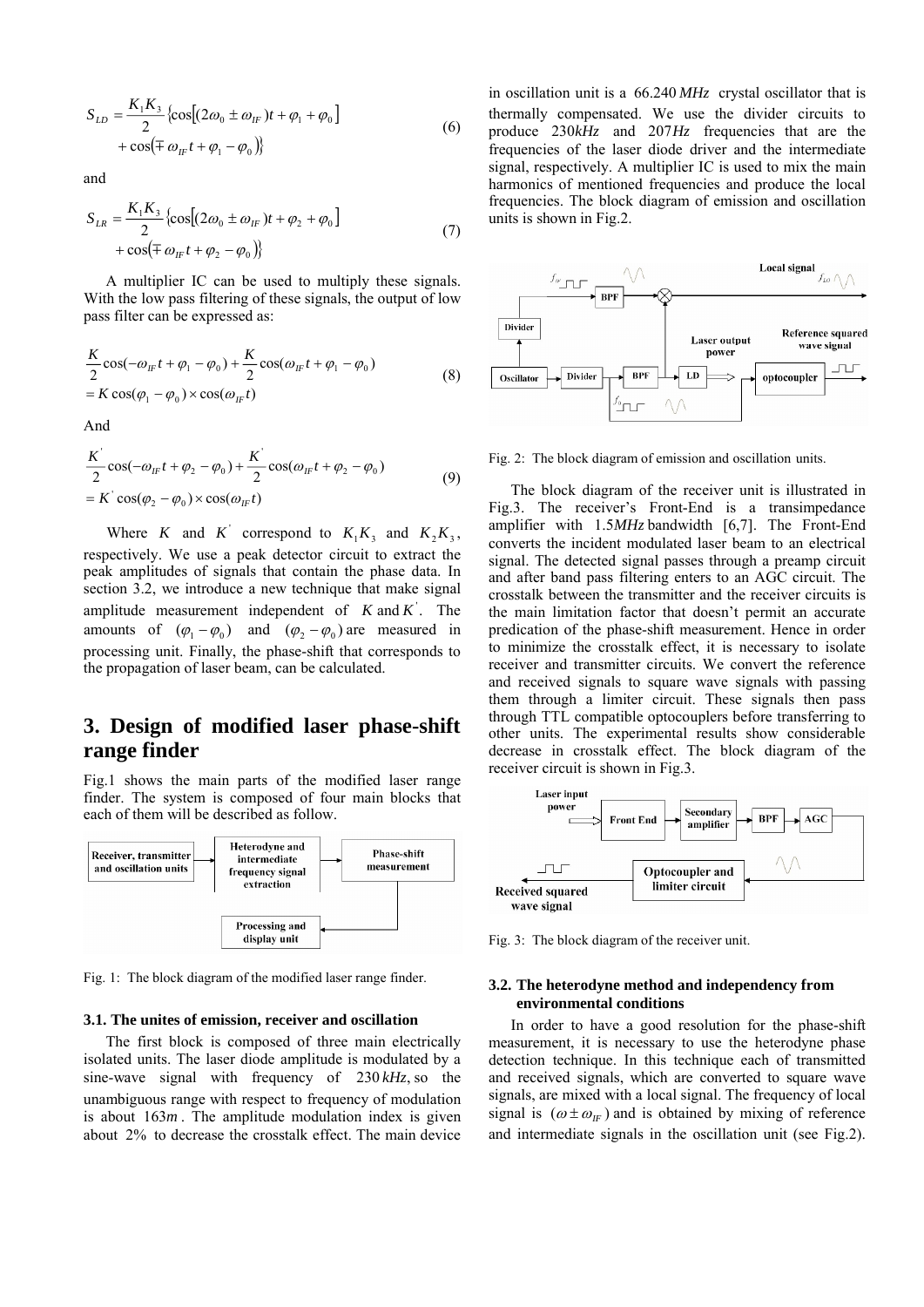$$
S_{LD} = \frac{K_1 K_3}{2} \left\{ \cos \left[ (2\omega_0 \pm \omega_{IF}) t + \varphi_1 + \varphi_0 \right] + \cos \left( \mp \omega_{IF} t + \varphi_1 - \varphi_0 \right) \right\}
$$
(6)

and

$$
S_{LR} = \frac{K_1 K_3}{2} \{ \cos[(2\omega_0 \pm \omega_{1F})t + \varphi_2 + \varphi_0] + \cos(\mp \omega_{1F} t + \varphi_2 - \varphi_0) \}
$$
(7)

A multiplier IC can be used to multiply these signals. With the low pass filtering of these signals, the output of low pass filter can be expressed as:

$$
\frac{K}{2}\cos(-\omega_{IF}t + \varphi_{1} - \varphi_{0}) + \frac{K}{2}\cos(\omega_{IF}t + \varphi_{1} - \varphi_{0})
$$
  
=  $K \cos(\varphi_{1} - \varphi_{0}) \times \cos(\omega_{IF}t)$  (8)

And

$$
\frac{K^{\prime}}{2}\cos(-\omega_{IF}t+\varphi_{2}-\varphi_{0})+\frac{K^{\prime}}{2}\cos(\omega_{IF}t+\varphi_{2}-\varphi_{0})
$$
\n
$$
=K^{\prime}\cos(\varphi_{2}-\varphi_{0})\times\cos(\omega_{IF}t)
$$
\n(9)

Where *K* and *K*<sup> $\cdot$ </sup> correspond to  $K_1K_3$  and  $K_2K_3$ , respectively. We use a peak detector circuit to extract the peak amplitudes of signals that contain the phase data. In section 3.2, we introduce a new technique that make signal amplitude measurement independent of  $K$  and  $K'$ . The amounts of  $(\varphi_1 - \varphi_0)$  and  $(\varphi_2 - \varphi_0)$  are measured in processing unit. Finally, the phase-shift that corresponds to the propagation of laser beam, can be calculated.

# **3. Design of modified laser phase-shift range finder**

Fig.1 shows the main parts of the modified laser range finder. The system is composed of four main blocks that each of them will be described as follow.



Fig. 1: The block diagram of the modified laser range finder.

#### **3.1. The unites of emission, receiver and oscillation**

The first block is composed of three main electrically isolated units. The laser diode amplitude is modulated by a sine-wave signal with frequency of 230 *kHz*, so the unambiguous range with respect to frequency of modulation is about 163*m* . The amplitude modulation index is given about 2% to decrease the crosstalk effect. The main device in oscillation unit is a 66.240 *MHz* crystal oscillator that is thermally compensated. We use the divider circuits to produce 230*kHz* and 207*Hz* frequencies that are the frequencies of the laser diode driver and the intermediate signal, respectively. A multiplier IC is used to mix the main harmonics of mentioned frequencies and produce the local frequencies. The block diagram of emission and oscillation units is shown in Fig.2.



Fig. 2: The block diagram of emission and oscillation units.

The block diagram of the receiver unit is illustrated in Fig.3. The receiver's Front-End is a transimpedance amplifier with 1.5MHz bandwidth [6,7]. The Front-End converts the incident modulated laser beam to an electrical signal. The detected signal passes through a preamp circuit and after band pass filtering enters to an AGC circuit. The crosstalk between the transmitter and the receiver circuits is the main limitation factor that doesn't permit an accurate predication of the phase-shift measurement. Hence in order to minimize the crosstalk effect, it is necessary to isolate receiver and transmitter circuits. We convert the reference and received signals to square wave signals with passing them through a limiter circuit. These signals then pass through TTL compatible optocouplers before transferring to other units. The experimental results show considerable decrease in crosstalk effect. The block diagram of the receiver circuit is shown in Fig.3.



Fig. 3: The block diagram of the receiver unit.

## **3.2. The heterodyne method and independency from environmental conditions**

In order to have a good resolution for the phase-shift measurement, it is necessary to use the heterodyne phase detection technique. In this technique each of transmitted and received signals, which are converted to square wave signals, are mixed with a local signal. The frequency of local signal is  $(\omega \pm \omega_{IF})$  and is obtained by mixing of reference and intermediate signals in the oscillation unit (see Fig.2).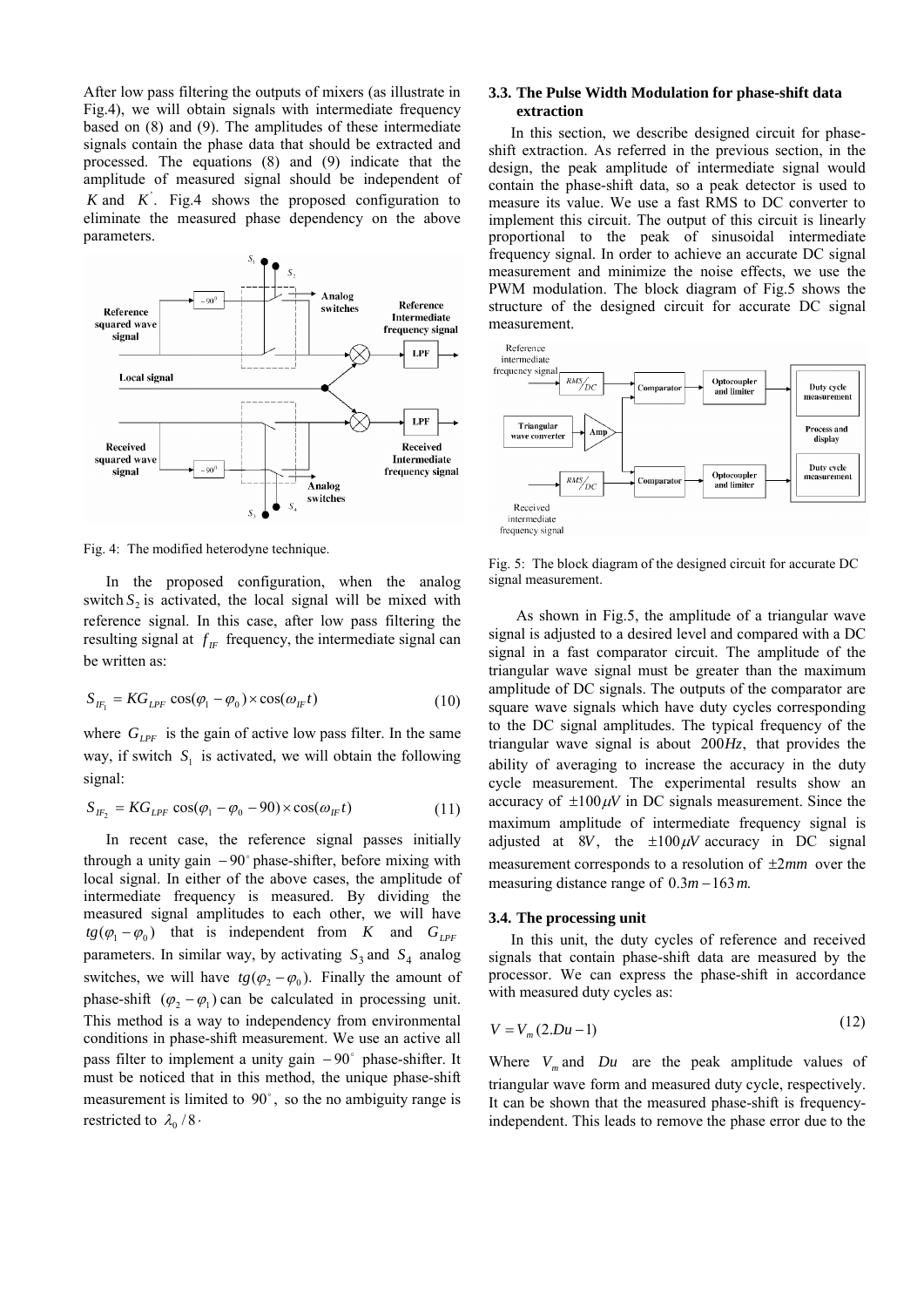After low pass filtering the outputs of mixers (as illustrate in Fig.4), we will obtain signals with intermediate frequency based on (8) and (9). The amplitudes of these intermediate signals contain the phase data that should be extracted and processed. The equations (8) and (9) indicate that the amplitude of measured signal should be independent of  $K$  and  $K'$ . Fig.4 shows the proposed configuration to eliminate the measured phase dependency on the above parameters.



Fig. 4: The modified heterodyne technique.

In the proposed configuration, when the analog switch  $S_2$  is activated, the local signal will be mixed with reference signal. In this case, after low pass filtering the resulting signal at  $f_F$  frequency, the intermediate signal can be written as:

$$
S_{IF_1} = KG_{LPF} \cos(\varphi_1 - \varphi_0) \times \cos(\omega_{IF} t)
$$
 (10)

where  $G_{LPF}$  is the gain of active low pass filter. In the same way, if switch  $S_i$  is activated, we will obtain the following signal:

$$
S_{IF_2} = KG_{LPF} \cos(\varphi_1 - \varphi_0 - 90) \times \cos(\omega_{IF} t)
$$
 (11)

In recent case, the reference signal passes initially through a unity gain  $-90^{\circ}$  phase-shifter, before mixing with local signal. In either of the above cases, the amplitude of intermediate frequency is measured. By dividing the measured signal amplitudes to each other, we will have  $tg(\varphi_1 - \varphi_0)$  that is independent from *K* and  $G_{IPF}$ parameters. In similar way, by activating  $S_3$  and  $S_4$  analog switches, we will have  $tg(\varphi, -\varphi_0)$ . Finally the amount of phase-shift  $(\varphi, -\varphi_1)$  can be calculated in processing unit. This method is a way to independency from environmental conditions in phase-shift measurement. We use an active all pass filter to implement a unity gain  $-90^\circ$  phase-shifter. It must be noticed that in this method, the unique phase-shift measurement is limited to  $90^\circ$ , so the no ambiguity range is restricted to  $\lambda_0/8$ .

### **3.3. The Pulse Width Modulation for phase-shift data extraction**

In this section, we describe designed circuit for phaseshift extraction. As referred in the previous section, in the design, the peak amplitude of intermediate signal would contain the phase-shift data, so a peak detector is used to measure its value. We use a fast RMS to DC converter to implement this circuit. The output of this circuit is linearly proportional to the peak of sinusoidal intermediate frequency signal. In order to achieve an accurate DC signal measurement and minimize the noise effects, we use the PWM modulation. The block diagram of Fig.5 shows the structure of the designed circuit for accurate DC signal measurement.



Fig. 5: The block diagram of the designed circuit for accurate DC signal measurement.

As shown in Fig.5, the amplitude of a triangular wave signal is adjusted to a desired level and compared with a DC signal in a fast comparator circuit. The amplitude of the triangular wave signal must be greater than the maximum amplitude of DC signals. The outputs of the comparator are square wave signals which have duty cycles corresponding to the DC signal amplitudes. The typical frequency of the triangular wave signal is about 200*Hz*, that provides the ability of averaging to increase the accuracy in the duty cycle measurement. The experimental results show an accuracy of  $\pm 100 \mu V$  in DC signals measurement. Since the maximum amplitude of intermediate frequency signal is adjusted at 8*V*, the  $\pm 100 \mu V$  accuracy in DC signal measurement corresponds to a resolution of  $\pm 2mm$  over the measuring distance range of  $0.3m - 163m$ .

#### **3.4. The processing unit**

In this unit, the duty cycles of reference and received signals that contain phase-shift data are measured by the processor. We can express the phase-shift in accordance with measured duty cycles as:

$$
V = V_m(2.Du-1) \tag{12}
$$

Where  $V_m$  and  $Du$  are the peak amplitude values of triangular wave form and measured duty cycle, respectively. It can be shown that the measured phase-shift is frequencyindependent. This leads to remove the phase error due to the